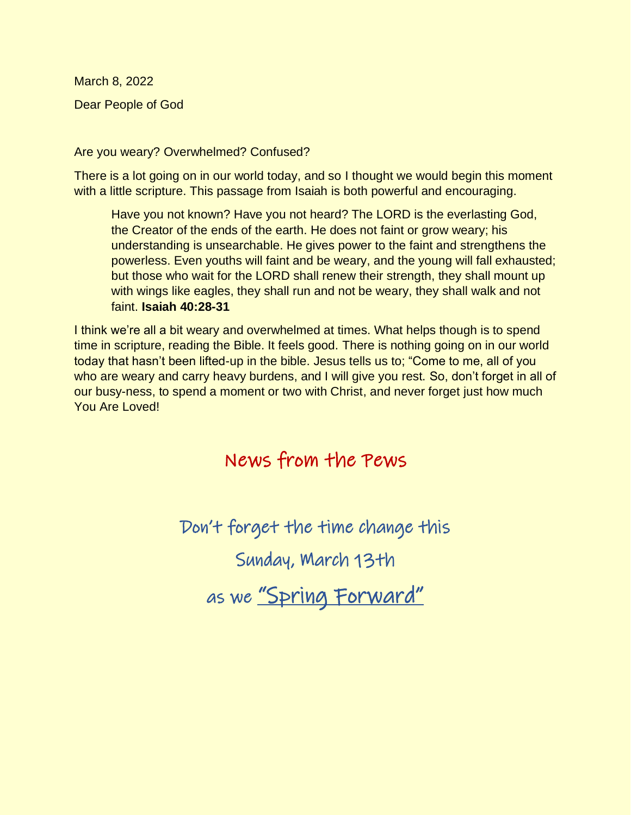March 8, 2022 Dear People of God

Are you weary? Overwhelmed? Confused?

There is a lot going on in our world today, and so I thought we would begin this moment with a little scripture. This passage from Isaiah is both powerful and encouraging.

Have you not known? Have you not heard? The LORD is the everlasting God, the Creator of the ends of the earth. He does not faint or grow weary; his understanding is unsearchable. He gives power to the faint and strengthens the powerless. Even youths will faint and be weary, and the young will fall exhausted; but those who wait for the LORD shall renew their strength, they shall mount up with wings like eagles, they shall run and not be weary, they shall walk and not faint. **Isaiah 40:28-31** 

I think we're all a bit weary and overwhelmed at times. What helps though is to spend time in scripture, reading the Bible. It feels good. There is nothing going on in our world today that hasn't been lifted-up in the bible. Jesus tells us to; "Come to me, all of you who are weary and carry heavy burdens, and I will give you rest. So, don't forget in all of our busy-ness, to spend a moment or two with Christ, and never forget just how much You Are Loved!

# News from the Pews

Don't forget the time change this

Sunday, March 13th

as we <u>"Spring Forward"</u>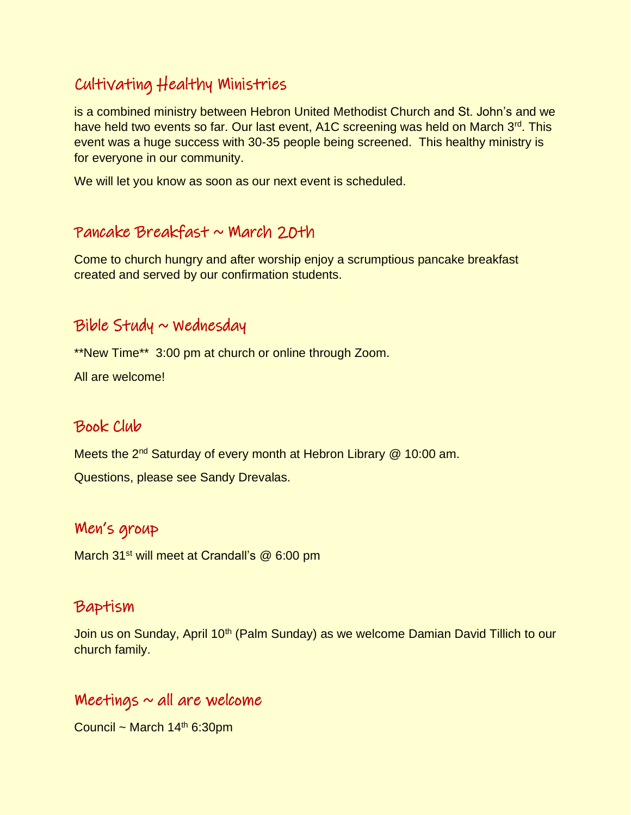# Cultivating Healthy Ministries

is a combined ministry between Hebron United Methodist Church and St. John's and we have held two events so far. Our last event, A1C screening was held on March 3<sup>rd</sup>. This event was a huge success with 30-35 people being screened. This healthy ministry is for everyone in our community.

We will let you know as soon as our next event is scheduled.

### Pancake Breakfast  $\sim$  March 20th

Come to church hungry and after worship enjoy a scrumptious pancake breakfast created and served by our confirmation students.

### $Bible$  Study  $\sim$  Wednesday

\*\*New Time\*\* 3:00 pm at church or online through Zoom.

All are welcome!

### Book Club

Meets the 2<sup>nd</sup> Saturday of every month at Hebron Library @ 10:00 am.

Questions, please see Sandy Drevalas.

### Men's group

March 31<sup>st</sup> will meet at Crandall's @ 6:00 pm

### Baptism

Join us on Sunday, April 10<sup>th</sup> (Palm Sunday) as we welcome Damian David Tillich to our church family.

### Meetings  $\sim$  all are welcome

Council ~ March  $14<sup>th</sup>$  6:30pm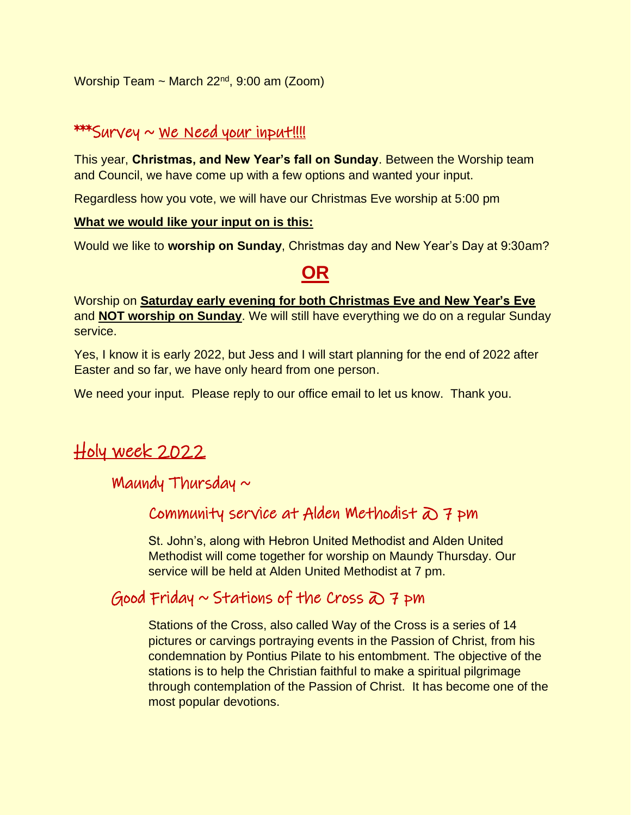Worship Team ~ March  $22<sup>nd</sup>$ , 9:00 am (Zoom)

### $***$ Survey  $\sim$  We Need your input!!!!

This year, **Christmas, and New Year's fall on Sunday**. Between the Worship team and Council, we have come up with a few options and wanted your input.

Regardless how you vote, we will have our Christmas Eve worship at 5:00 pm

#### **What we would like your input on is this:**

Would we like to **worship on Sunday**, Christmas day and New Year's Day at 9:30am?

# **OR**

Worship on **Saturday early evening for both Christmas Eve and New Year's Eve** and **NOT worship on Sunday**. We will still have everything we do on a regular Sunday service.

Yes, I know it is early 2022, but Jess and I will start planning for the end of 2022 after Easter and so far, we have only heard from one person.

We need your input. Please reply to our office email to let us know. Thank you.

# Holy week 2022

### Maundy Thursday  $\sim$

### Community service at Alden Methodist  $\overline{\omega}$  7 pm

St. John's, along with Hebron United Methodist and Alden United Methodist will come together for worship on Maundy Thursday. Our service will be held at Alden United Methodist at 7 pm.

## Good Friday  $\sim$  Stations of the Cross  $\overline{a}$  7 pm

Stations of the Cross, also called Way of the Cross is a series of 14 pictures or carvings portraying events in the Passion of Christ, from his condemnation by Pontius Pilate to his entombment. The objective of the stations is to help the Christian faithful to make a spiritual pilgrimage through contemplation of the Passion of Christ. It has become one of the most popular devotions.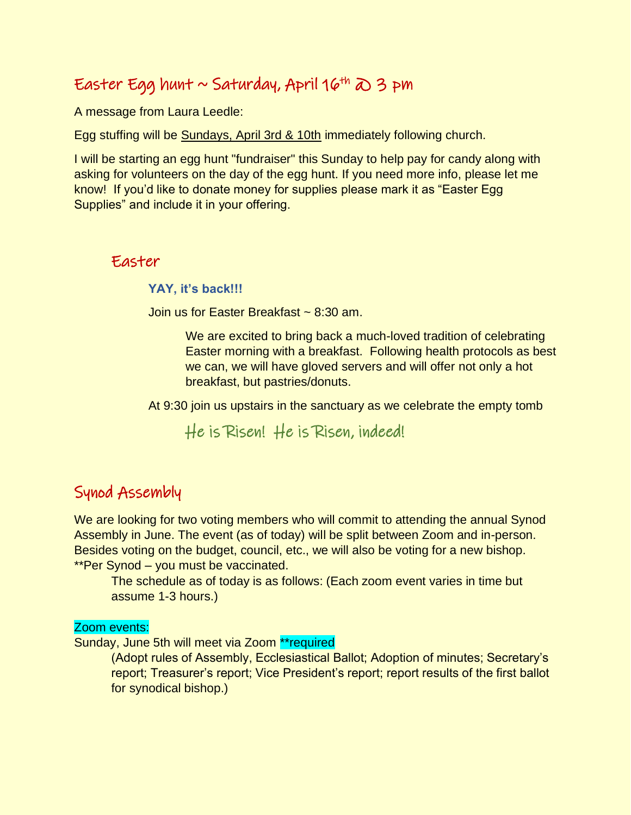# Easter Egg hunt ~ Saturday, April 16th  $\infty$  3 pm

A message from Laura Leedle:

Egg stuffing will be Sundays, April 3rd & 10th immediately following church.

I will be starting an egg hunt "fundraiser" this Sunday to help pay for candy along with asking for volunteers on the day of the egg hunt. If you need more info, please let me know! If you'd like to donate money for supplies please mark it as "Easter Egg Supplies" and include it in your offering.

#### Easter

**YAY, it's back!!!** 

Join us for Easter Breakfast ~ 8:30 am.

We are excited to bring back a much-loved tradition of celebrating Easter morning with a breakfast. Following health protocols as best we can, we will have gloved servers and will offer not only a hot breakfast, but pastries/donuts.

At 9:30 join us upstairs in the sanctuary as we celebrate the empty tomb

He is Risen! He is Risen, indeed!

## Synod Assembly

We are looking for two voting members who will commit to attending the annual Synod Assembly in June. The event (as of today) will be split between Zoom and in-person. Besides voting on the budget, council, etc., we will also be voting for a new bishop. \*\*Per Synod – you must be vaccinated.

The schedule as of today is as follows: (Each zoom event varies in time but assume 1-3 hours.)

#### Zoom events:

Sunday, June 5th will meet via Zoom \*\*required

(Adopt rules of Assembly, Ecclesiastical Ballot; Adoption of minutes; Secretary's report; Treasurer's report; Vice President's report; report results of the first ballot for synodical bishop.)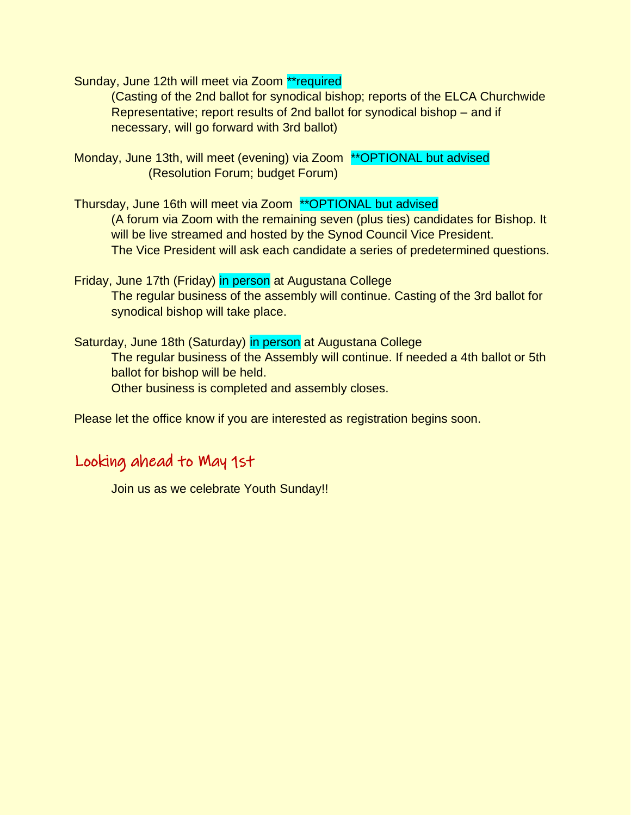Sunday, June 12th will meet via Zoom \*\*required

(Casting of the 2nd ballot for synodical bishop; reports of the ELCA Churchwide Representative; report results of 2nd ballot for synodical bishop – and if necessary, will go forward with 3rd ballot)

- Monday, June 13th, will meet (evening) via Zoom \*\*OPTIONAL but advised (Resolution Forum; budget Forum)
- Thursday, June 16th will meet via Zoom \*\*OPTIONAL but advised (A forum via Zoom with the remaining seven (plus ties) candidates for Bishop. It will be live streamed and hosted by the Synod Council Vice President. The Vice President will ask each candidate a series of predetermined questions.
- Friday, June 17th (Friday) in person at Augustana College The regular business of the assembly will continue. Casting of the 3rd ballot for synodical bishop will take place.
- Saturday, June 18th (Saturday) in person at Augustana College The regular business of the Assembly will continue. If needed a 4th ballot or 5th ballot for bishop will be held. Other business is completed and assembly closes.

Please let the office know if you are interested as registration begins soon.

## Looking ahead to May 1st

Join us as we celebrate Youth Sunday!!